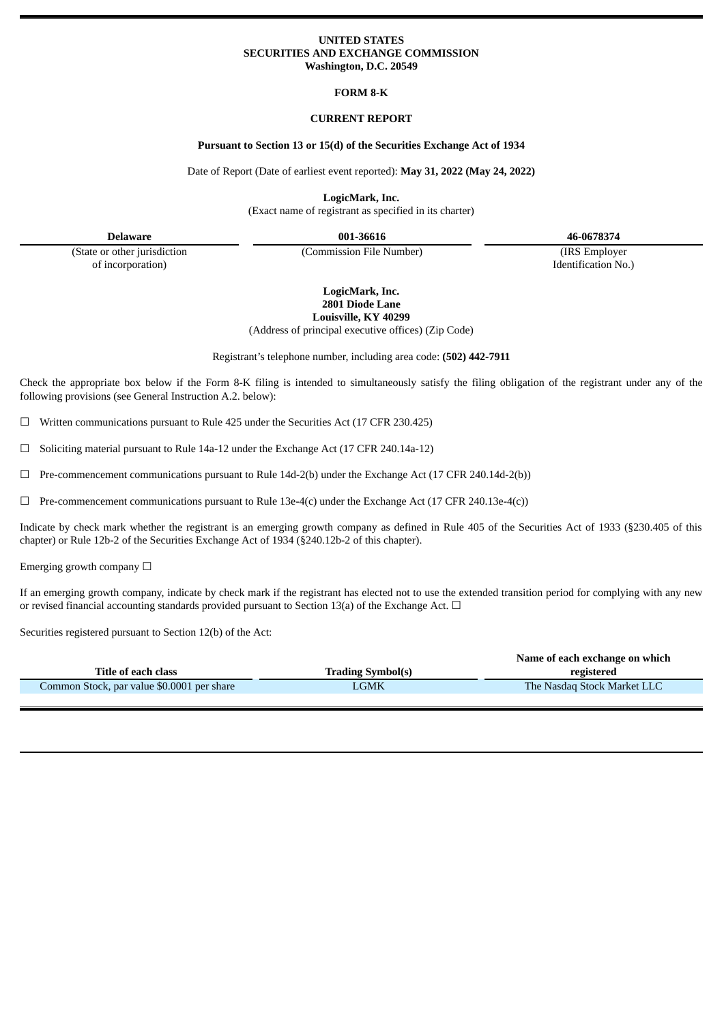# **UNITED STATES SECURITIES AND EXCHANGE COMMISSION Washington, D.C. 20549**

## **FORM 8-K**

# **CURRENT REPORT**

## **Pursuant to Section 13 or 15(d) of the Securities Exchange Act of 1934**

Date of Report (Date of earliest event reported): **May 31, 2022 (May 24, 2022)**

**LogicMark, Inc.**

(Exact name of registrant as specified in its charter)

(State or other jurisdiction of incorporation)

(Commission File Number) (IRS Employer

**Delaware 001-36616 46-0678374**

Identification No.)

**LogicMark, Inc. 2801 Diode Lane Louisville, KY 40299**

(Address of principal executive offices) (Zip Code)

Registrant's telephone number, including area code: **(502) 442-7911**

Check the appropriate box below if the Form 8-K filing is intended to simultaneously satisfy the filing obligation of the registrant under any of the following provisions (see General Instruction A.2. below):

 $\Box$  Written communications pursuant to Rule 425 under the Securities Act (17 CFR 230.425)

☐ Soliciting material pursuant to Rule 14a-12 under the Exchange Act (17 CFR 240.14a-12)

 $\Box$  Pre-commencement communications pursuant to Rule 14d-2(b) under the Exchange Act (17 CFR 240.14d-2(b))

 $\Box$  Pre-commencement communications pursuant to Rule 13e-4(c) under the Exchange Act (17 CFR 240.13e-4(c))

Indicate by check mark whether the registrant is an emerging growth company as defined in Rule 405 of the Securities Act of 1933 (§230.405 of this chapter) or Rule 12b-2 of the Securities Exchange Act of 1934 (§240.12b-2 of this chapter).

Emerging growth company  $\Box$ 

If an emerging growth company, indicate by check mark if the registrant has elected not to use the extended transition period for complying with any new or revised financial accounting standards provided pursuant to Section 13(a) of the Exchange Act.  $\Box$ 

Securities registered pursuant to Section 12(b) of the Act:

|                                            |                          | Name of each exchange on which |
|--------------------------------------------|--------------------------|--------------------------------|
| Title of each class                        | <b>Trading Symbol(s)</b> | registered                     |
| Common Stock, par value \$0.0001 per share | LGMK                     | The Nasdag Stock Market LLC    |
|                                            |                          |                                |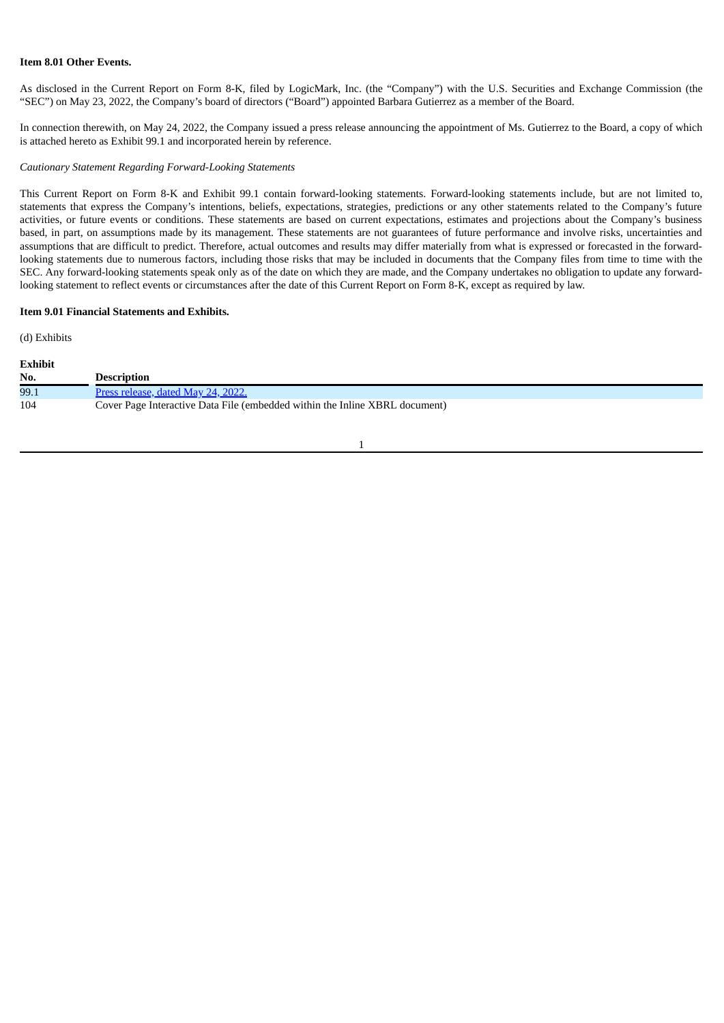# **Item 8.01 Other Events.**

As disclosed in the Current Report on Form 8-K, filed by LogicMark, Inc. (the "Company") with the U.S. Securities and Exchange Commission (the "SEC") on May 23, 2022, the Company's board of directors ("Board") appointed Barbara Gutierrez as a member of the Board.

In connection therewith, on May 24, 2022, the Company issued a press release announcing the appointment of Ms. Gutierrez to the Board, a copy of which is attached hereto as Exhibit 99.1 and incorporated herein by reference.

## *Cautionary Statement Regarding Forward-Looking Statements*

This Current Report on Form 8-K and Exhibit 99.1 contain forward-looking statements. Forward-looking statements include, but are not limited to, statements that express the Company's intentions, beliefs, expectations, strategies, predictions or any other statements related to the Company's future activities, or future events or conditions. These statements are based on current expectations, estimates and projections about the Company's business based, in part, on assumptions made by its management. These statements are not guarantees of future performance and involve risks, uncertainties and assumptions that are difficult to predict. Therefore, actual outcomes and results may differ materially from what is expressed or forecasted in the forwardlooking statements due to numerous factors, including those risks that may be included in documents that the Company files from time to time with the SEC. Any forward-looking statements speak only as of the date on which they are made, and the Company undertakes no obligation to update any forwardlooking statement to reflect events or circumstances after the date of this Current Report on Form 8-K, except as required by law.

# **Item 9.01 Financial Statements and Exhibits.**

(d) Exhibits

**Exhibit**

| ехинон |                                                                             |
|--------|-----------------------------------------------------------------------------|
| No.    | <b>Description</b>                                                          |
| 99.1   | Press release, dated May 24, 2022.                                          |
| 104    | Cover Page Interactive Data File (embedded within the Inline XBRL document) |
|        |                                                                             |

### 1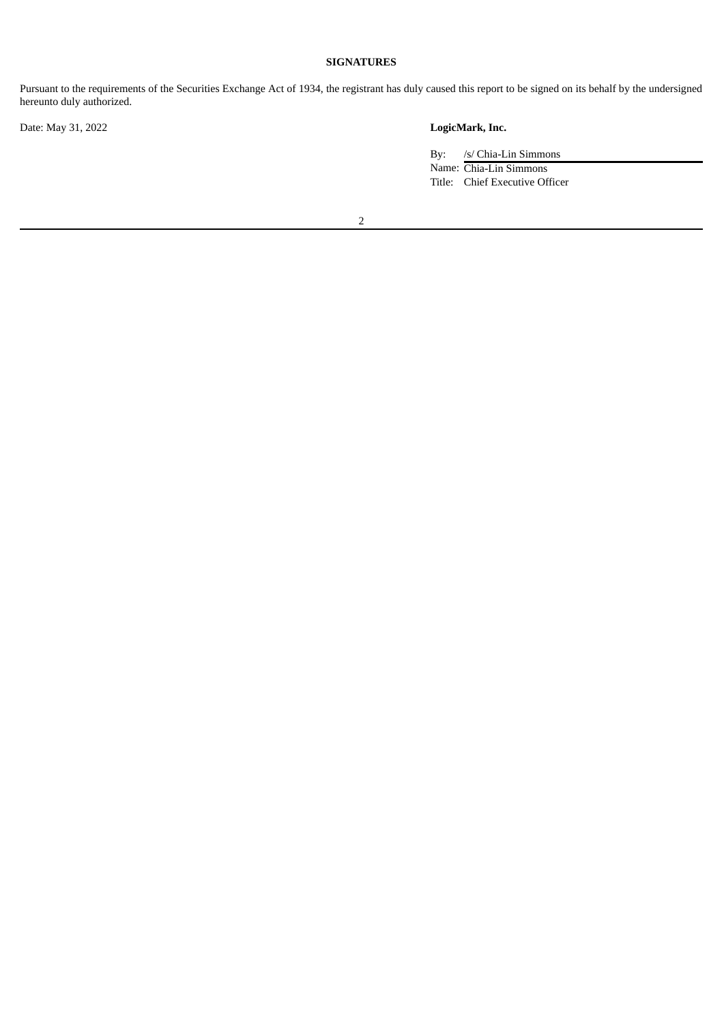# **SIGNATURES**

Pursuant to the requirements of the Securities Exchange Act of 1934, the registrant has duly caused this report to be signed on its behalf by the undersigned hereunto duly authorized.

Date: May 31, 2022 **LogicMark, Inc.**

By: /s/ Chia-Lin Simmons Name: Chia-Lin Simmons Title: Chief Executive Officer